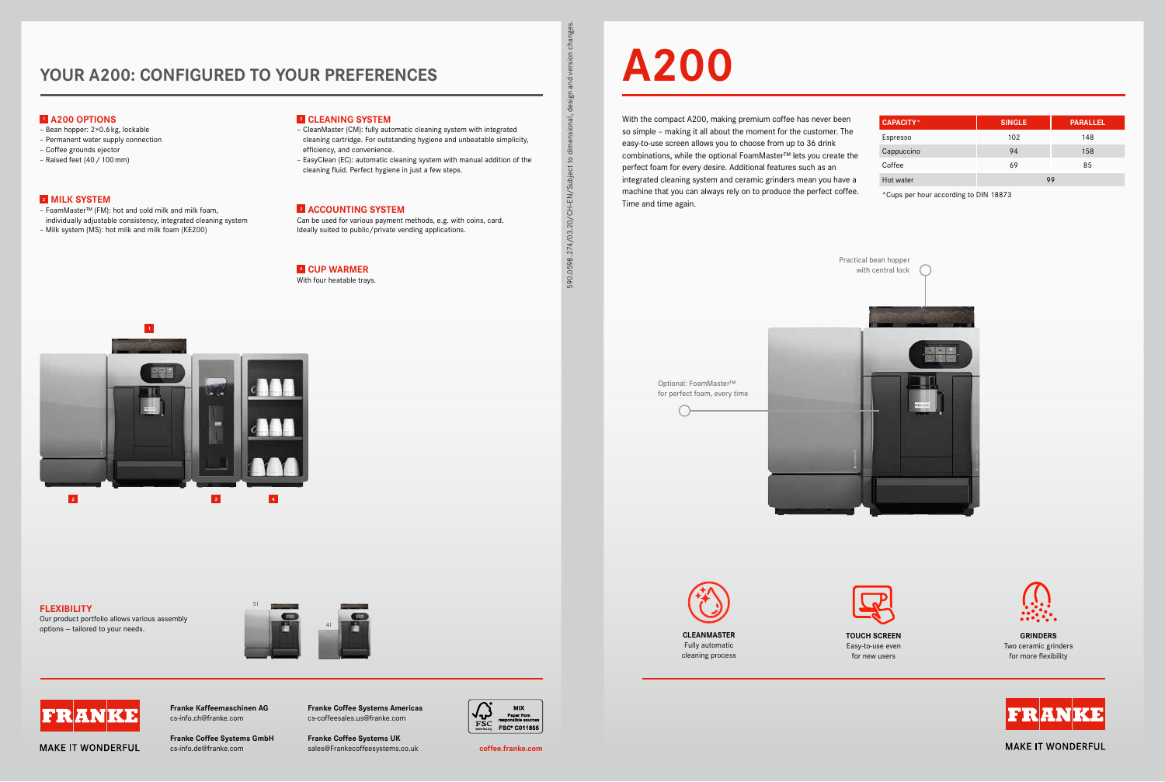# **YOUR A200: CONFIGURED TO YOUR PREFERENCES**

**Franke Coffee Systems Americas** cs-coffeesales.us@franke.com

**Franke Coffee Systems UK**



sales@Frankecoffeesystems.co.uk cs-info.de@franke.com **coffee.franke.com Franke Coffee Systems GmbH**

**Franke Kaffeemaschinen AG** cs-info.ch@franke.com

# **A200**

With the compact A200, making premium coffee has never been so simple – making it all about the moment for the customer. The easy-to-use screen allows you to choose from up to 36 drink combinations, while the optional FoamMaster™ lets you create the perfect foam for every desire. Additional features such as an integrated cleaning system and ceramic grinders mean you have a machine that you can always rely on to produce the perfect coffee. Time and time again.

Espres: Hot wa



Easy-to-use even for new users

**GRINDERS**  Two ceramic grinders for more flexibility



**MAKE IT WONDERFUL** 

| <b>CAPACITY*</b> | <b>SINGLE</b> | <b>PARALLEL</b> |
|------------------|---------------|-----------------|
| Espresso         | 102           | 148             |
| Cappuccino       | 94            | 158             |
| Coffee           | 69            | 85              |
| Hot water        | 99            |                 |

\*Cups per hour according to DIN 18873



## **1 A200 OPTIONS**

- Bean hopper: 2×0.6kg, lockable
- Permanent water supply connection
- Coffee grounds ejector
- Raised feet (40/100mm)

#### **2 MILK SYSTEM**

– FoamMaster™ (FM): hot and cold milk and milk foam, individually adjustable consistency, integrated cleaning system

– Milk system (MS): hot milk and milk foam (KE200)

#### **2 CLEANING SYSTEM**

- CleanMaster (CM): fully automatic cleaning system with integrated cleaning cartridge. For outstanding hygiene and unbeatable simplicity, efficiency, and convenience.
- EasyClean (EC): automatic cleaning system with manual addition of the cleaning fluid. Perfect hygiene in just a few steps.

### **3 ACCOUNTING SYSTEM**

Can be used for various payment methods, e.g. with coins, card. Ideally suited to public/private vending applications.

## **4 CUP WARMER**

With four heatable trays.

590.0598.274/03.20/CH-EN/Subject to dimensional, design and version changes.

590.0598.274/03.20/CH-EN/Subject to d

č  $\mathsf{S}% _{T}=\mathsf{S}_{T}\!\left( a,b\right) ,\mathsf{S}_{T}=\mathsf{S}_{T}\!\left( a,b\right) ,\mathsf{S}_{T}=\mathsf{S}_{T}\!\left( a,b\right) ,$  $\overline{\mathbf{e}}$  $and$  $\overline{50}$ ial, desi

# **FLEXIBILITY**

Our product portfolio allows various assembly options — tailored to your needs.







**MAKE IT WONDERFUL**